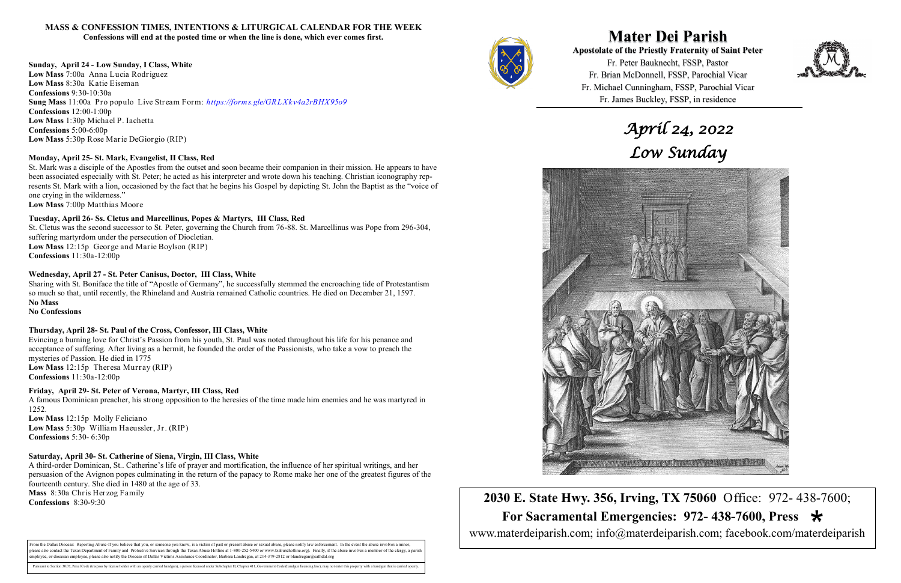



**Mater Dei Parish Apostolate of the Priestly Fraternity of Saint Peter**  Fr. Peter Bauknecht, FSSP, Pastor Fr. Brian McDonnell, FSSP, Parochial Vicar Fr. Michael Cunningham, FSSP, Parochial Vicar Fr. James Buckley, FSSP, in residence



**2030 E. State Hwy. 356, Irving, TX 75060** Office: 972- 438-7600;  **For Sacramental Emergencies: 972- 438-7600, Press**  www.materdeiparish.com; info@materdeiparish.com; facebook.com/materdeiparish



### **MASS & CONFESSION TIMES, INTENTIONS & LITURGICAL CALENDAR FOR THE WEEK Confessions will end at the posted time or when the line is done, which ever comes first.**

**Sunday, April 24 - Low Sunday, I Class, White Low Mass** 7:00a Anna Lucia Rodriguez **Low Mass** 8:30a Katie Eiseman **Confessions** 9:30-10:30a **Sung Mass** 11:00a Pro populo Live Stream Form: *https://forms.gle/GRLXkv4a2rBHX95o9* **Confessions** 12:00-1:00p **Low Mass** 1:30p Michael P. Iachetta **Confessions** 5:00-6:00p **Low Mass** 5:30p Rose Marie DeGiorgio (RIP)

### **Monday, April 25- St. Mark, Evangelist, II Class, Red**

St. Mark was a disciple of the Apostles from the outset and soon became their companion in their mission. He appears to have been associated especially with St. Peter; he acted as his interpreter and wrote down his teaching. Christian iconography represents St. Mark with a lion, occasioned by the fact that he begins his Gospel by depicting St. John the Baptist as the "voice of one crying in the wilderness."

**Low Mass** 7:00p Matthias Moore

### **Tuesday, April 26- Ss. Cletus and Marcellinus, Popes & Martyrs, III Class, Red**

St. Cletus was the second successor to St. Peter, governing the Church from 76-88. St. Marcellinus was Pope from 296-304, suffering martyrdom under the persecution of Diocletian. **Low Mass** 12:15p George and Marie Boylson (RIP)

**Confessions** 11:30a-12:00p

From the Dallas Diocese: Reporting Abuse-If you believe that you, or someone you know, is a victim of past or present abuse or sexual abuse, please notify law enforcement. In the event the abuse involves a minor, blease also contact the Texas Department of Family and Protective Services through the Texas Abuse Hotline at 1-800-252-5400 or www.txabusehotline.org). Finally, if the abuse involves a member of the clergy, a paris employee, or diocesan employee, please also notify the Diocese of Dallas Victims Assistance Coordinator, Barbara Landregan, at 214-379-2812 or blandregan@cathdal.org

### **Wednesday, April 27 - St. Peter Canisus, Doctor, III Class, White**

Sharing with St. Boniface the title of "Apostle of Germany", he successfully stemmed the encroaching tide of Protestantism so much so that, until recently, the Rhineland and Austria remained Catholic countries. He died on December 21, 1597. **No Mass** 

**No Confessions** 

### **Thursday, April 28- St. Paul of the Cross, Confessor, III Class, White**

Evincing a burning love for Christ's Passion from his youth, St. Paul was noted throughout his life for his penance and acceptance of suffering. After living as a hermit, he founded the order of the Passionists, who take a vow to preach the mysteries of Passion. He died in 1775 **Low Mass** 12:15p Theresa Murray (RIP) **Confessions** 11:30a-12:00p

### **Friday, April 29- St. Peter of Verona, Martyr, III Class, Red**

A famous Dominican preacher, his strong opposition to the heresies of the time made him enemies and he was martyred in 1252. **Low Mass** 12:15p Molly Feliciano **Low Mass** 5:30p William Haeussler, Jr. (RIP) **Confessions** 5:30- 6:30p

### **Saturday, April 30- St. Catherine of Siena, Virgin, III Class, White**

A third-order Dominican, St.. Catherine's life of prayer and mortification, the influence of her spiritual writings, and her persuasion of the Avignon popes culminating in the return of the papacy to Rome make her one of the greatest figures of the fourteenth century. She died in 1480 at the age of 33. **Mass** 8:30a Chris Herzog Family **Confessions** 8:30-9:30

# *April 24, 2022 Low Sunday*